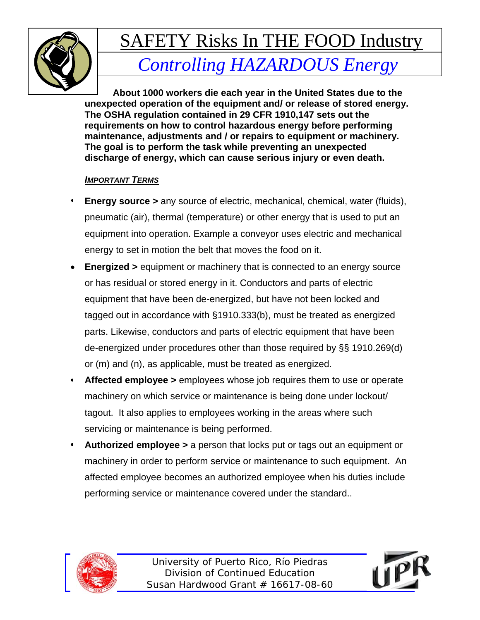

### *Controlling HAZARDOUS Energy*

**About 1000 workers die each year in the United States due to the unexpected operation of the equipment and/ or release of stored energy. The OSHA regulation contained in 29 CFR 1910,147 sets out the requirements on how to control hazardous energy before performing maintenance, adjustments and / or repairs to equipment or machinery. The goal is to perform the task while preventing an unexpected discharge of energy, which can cause serious injury or even death.** 

#### *IMPORTANT TERMS*

- **Energy source >** any source of electric, mechanical, chemical, water (fluids), pneumatic (air), thermal (temperature) or other energy that is used to put an equipment into operation. Example a conveyor uses electric and mechanical energy to set in motion the belt that moves the food on it.
- **Energized >** equipment or machinery that is connected to an energy source or has residual or stored energy in it. Conductors and parts of electric equipment that have been de-energized, but have not been locked and tagged out in accordance with §1910.333(b), must be treated as energized parts. Likewise, conductors and parts of electric equipment that have been de-energized under procedures other than those required by §§ 1910.269(d) or (m) and (n), as applicable, must be treated as energized.
- **Affected employee >** employees whose job requires them to use or operate machinery on which service or maintenance is being done under lockout/ tagout. It also applies to employees working in the areas where such servicing or maintenance is being performed.
- **Authorized employee >** a person that locks put or tags out an equipment or machinery in order to perform service or maintenance to such equipment. An affected employee becomes an authorized employee when his duties include performing service or maintenance covered under the standard..



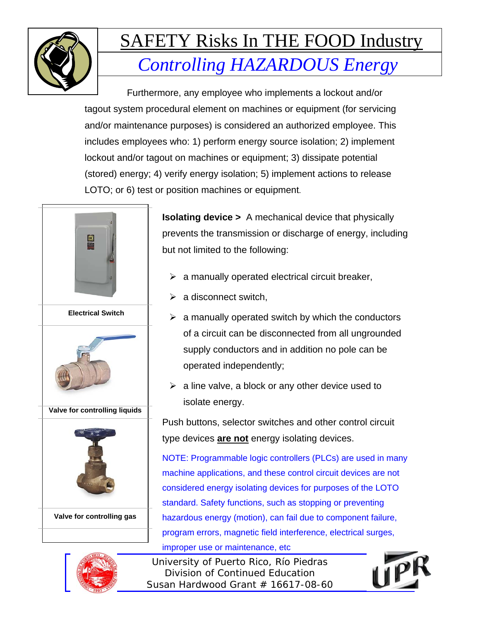

Furthermore, any employee who implements a lockout and/or tagout system procedural element on machines or equipment (for servicing and/or maintenance purposes) is considered an authorized employee. This includes employees who: 1) perform energy source isolation; 2) implement lockout and/or tagout on machines or equipment; 3) dissipate potential (stored) energy; 4) verify energy isolation; 5) implement actions to release LOTO; or 6) test or position machines or equipment.



**Isolating device >** A mechanical device that physically prevents the transmission or discharge of energy, including but not limited to the following:

- $\triangleright$  a manually operated electrical circuit breaker,
- $\triangleright$  a disconnect switch,
- $\triangleright$  a manually operated switch by which the conductors of a circuit can be disconnected from all ungrounded supply conductors and in addition no pole can be operated independently;
- $\triangleright$  a line valve, a block or any other device used to isolate energy.

Push buttons, selector switches and other control circuit type devices **are not** energy isolating devices.

NOTE: Programmable logic controllers (PLCs) are used in many machine applications, and these control circuit devices are not considered energy isolating devices for purposes of the LOTO standard. Safety functions, such as stopping or preventing hazardous energy (motion), can fail due to component failure, program errors, magnetic field interference, electrical surges, improper use or maintenance, etc

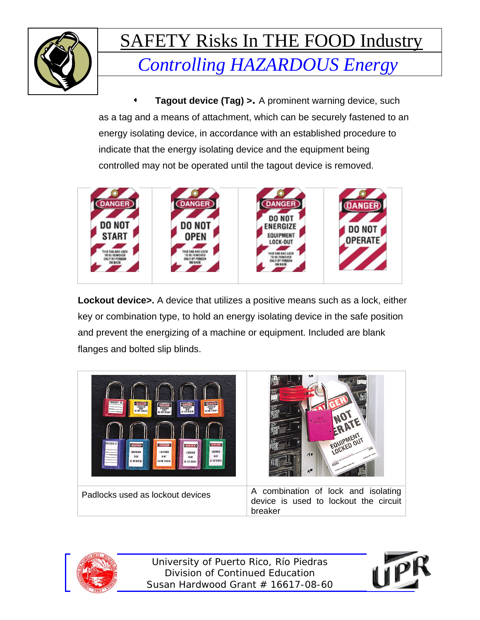

**Tagout device (Tag) >.** A prominent warning device, such as a tag and a means of attachment, which can be securely fastened to an energy isolating device, in accordance with an established procedure to indicate that the energy isolating device and the equipment being controlled may not be operated until the tagout device is removed.



**Lockout device>.** A device that utilizes a positive means such as a lock, either key or combination type, to hold an energy isolating device in the safe position and prevent the energizing of a machine or equipment. Included are blank flanges and bolted slip blinds.





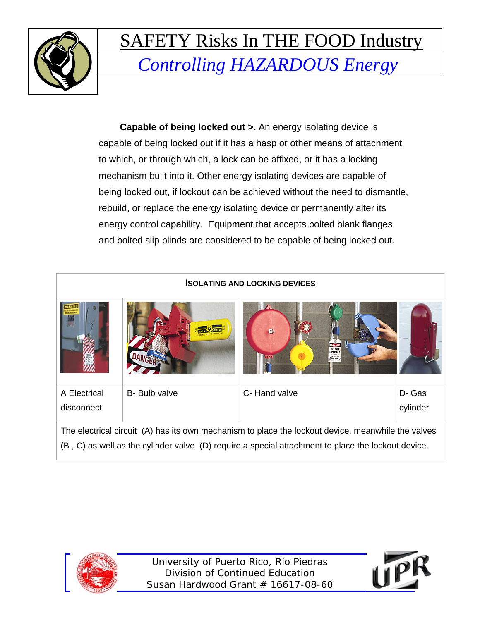

**Capable of being locked out >.** An energy isolating device is capable of being locked out if it has a hasp or other means of attachment to which, or through which, a lock can be affixed, or it has a locking mechanism built into it. Other energy isolating devices are capable of being locked out, if lockout can be achieved without the need to dismantle, rebuild, or replace the energy isolating device or permanently alter its energy control capability. Equipment that accepts bolted blank flanges and bolted slip blinds are considered to be capable of being locked out.

| <b>ISOLATING AND LOCKING DEVICES</b> |               |                                                                                                                                                                                                          |                   |  |
|--------------------------------------|---------------|----------------------------------------------------------------------------------------------------------------------------------------------------------------------------------------------------------|-------------------|--|
|                                      |               | <b>DO NOT</b><br>OPERATE<br><b>SOUPHENT</b>                                                                                                                                                              |                   |  |
| A Electrical<br>disconnect           | B- Bulb valve | C-Hand valve                                                                                                                                                                                             | D-Gas<br>cylinder |  |
|                                      |               | The electrical circuit (A) has its own mechanism to place the lockout device, meanwhile the valves<br>(B, C) as well as the cylinder valve (D) require a special attachment to place the lockout device. |                   |  |



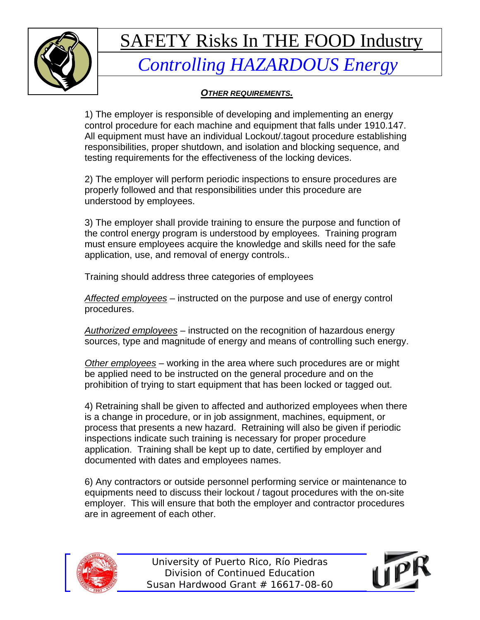

### *Controlling HAZARDOUS Energy*

*OTHER REQUIREMENTS.*

1) The employer is responsible of developing and implementing an energy control procedure for each machine and equipment that falls under 1910.147. All equipment must have an individual Lockout/.tagout procedure establishing responsibilities, proper shutdown, and isolation and blocking sequence, and testing requirements for the effectiveness of the locking devices.

2) The employer will perform periodic inspections to ensure procedures are properly followed and that responsibilities under this procedure are understood by employees.

3) The employer shall provide training to ensure the purpose and function of the control energy program is understood by employees. Training program must ensure employees acquire the knowledge and skills need for the safe application, use, and removal of energy controls..

Training should address three categories of employees

*Affected employees* – instructed on the purpose and use of energy control procedures.

*Authorized employees* – instructed on the recognition of hazardous energy sources, type and magnitude of energy and means of controlling such energy.

*Other employees* – working in the area where such procedures are or might be applied need to be instructed on the general procedure and on the prohibition of trying to start equipment that has been locked or tagged out.

4) Retraining shall be given to affected and authorized employees when there is a change in procedure, or in job assignment, machines, equipment, or process that presents a new hazard. Retraining will also be given if periodic inspections indicate such training is necessary for proper procedure application. Training shall be kept up to date, certified by employer and documented with dates and employees names.

6) Any contractors or outside personnel performing service or maintenance to equipments need to discuss their lockout / tagout procedures with the on-site employer. This will ensure that both the employer and contractor procedures are in agreement of each other.



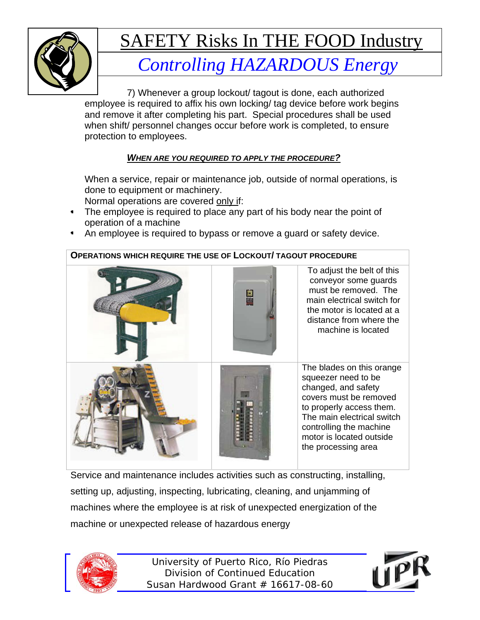

### *Controlling HAZARDOUS Energy*

7) Whenever a group lockout/ tagout is done, each authorized employee is required to affix his own locking/ tag device before work begins and remove it after completing his part. Special procedures shall be used when shift/ personnel changes occur before work is completed, to ensure protection to employees.

#### *WHEN ARE YOU REQUIRED TO APPLY THE PROCEDURE?*

When a service, repair or maintenance job, outside of normal operations, is done to equipment or machinery.

Normal operations are covered only if:

- The employee is required to place any part of his body near the point of operation of a machine
- An employee is required to bypass or remove a guard or safety device.



Service and maintenance includes activities such as constructing, installing, setting up, adjusting, inspecting, lubricating, cleaning, and unjamming of machines where the employee is at risk of unexpected energization of the machine or unexpected release of hazardous energy



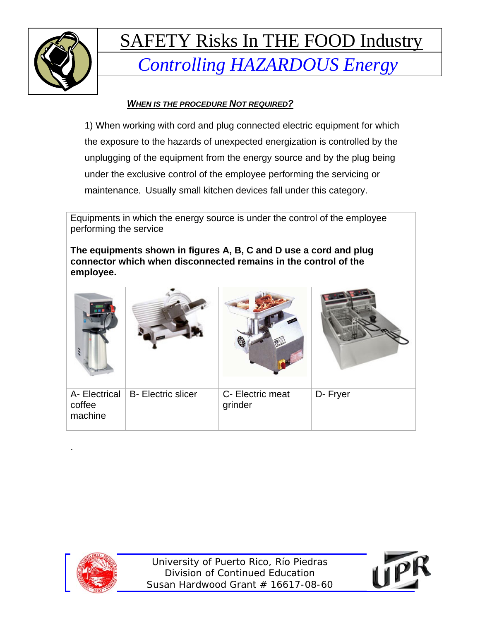

### *WHEN IS THE PROCEDURE NOT REQUIRED?*

1) When working with cord and plug connected electric equipment for which the exposure to the hazards of unexpected energization is controlled by the unplugging of the equipment from the energy source and by the plug being under the exclusive control of the employee performing the servicing or maintenance. Usually small kitchen devices fall under this category.

Equipments in which the energy source is under the control of the employee performing the service

**The equipments shown in figures A, B, C and D use a cord and plug connector which when disconnected remains in the control of the employee.** 

| A- Electrical<br>coffee<br>machine | <b>B-</b> Electric slicer | C- Electric meat<br>grinder | D- Fryer |
|------------------------------------|---------------------------|-----------------------------|----------|



.

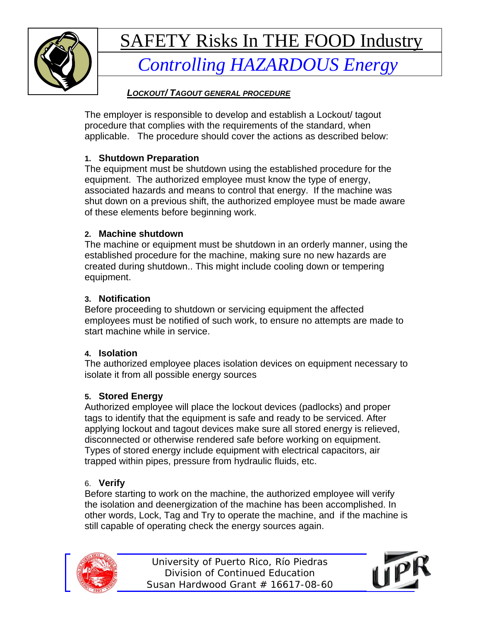

### *Controlling HAZARDOUS Energy*

### *LOCKOUT/ TAGOUT GENERAL PROCEDURE*

The employer is responsible to develop and establish a Lockout/ tagout procedure that complies with the requirements of the standard, when applicable. The procedure should cover the actions as described below:

### **1. Shutdown Preparation**

The equipment must be shutdown using the established procedure for the equipment. The authorized employee must know the type of energy, associated hazards and means to control that energy. If the machine was shut down on a previous shift, the authorized employee must be made aware of these elements before beginning work.

### **2. Machine shutdown**

The machine or equipment must be shutdown in an orderly manner, using the established procedure for the machine, making sure no new hazards are created during shutdown.. This might include cooling down or tempering equipment.

### **3. Notification**

Before proceeding to shutdown or servicing equipment the affected employees must be notified of such work, to ensure no attempts are made to start machine while in service.

### **4. Isolation**

The authorized employee places isolation devices on equipment necessary to isolate it from all possible energy sources

### **5. Stored Energy**

Authorized employee will place the lockout devices (padlocks) and proper tags to identify that the equipment is safe and ready to be serviced. After applying lockout and tagout devices make sure all stored energy is relieved, disconnected or otherwise rendered safe before working on equipment. Types of stored energy include equipment with electrical capacitors, air trapped within pipes, pressure from hydraulic fluids, etc.

### 6. **Verify**

Before starting to work on the machine, the authorized employee will verify the isolation and deenergization of the machine has been accomplished. In other words, Lock, Tag and Try to operate the machine, and if the machine is still capable of operating check the energy sources again.